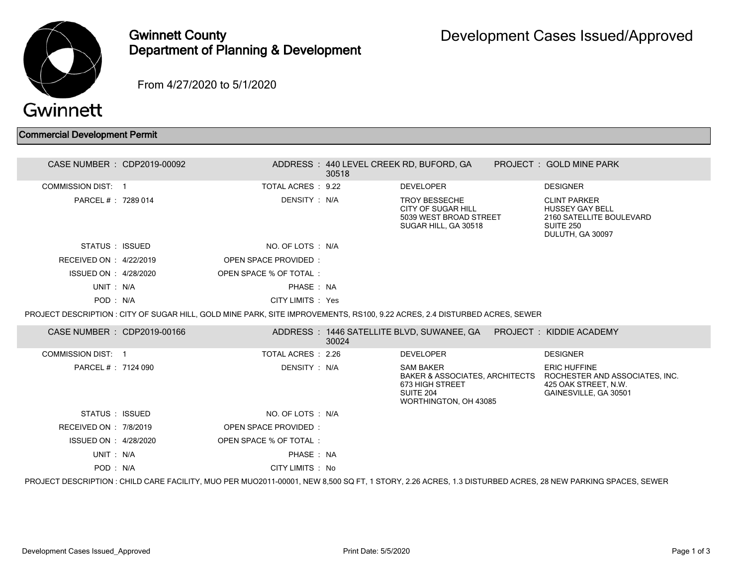

Gwinnett County Department of Planning & Development

From 4/27/2020 to 5/1/2020

## Commercial Development Permit

| CASE NUMBER : CDP2019-00092                                                                                                                               |  |                                                                                                                            | 30518 | ADDRESS: 440 LEVEL CREEK RD, BUFORD, GA                                                                                |  | PROJECT: GOLD MINE PARK                                                                                           |
|-----------------------------------------------------------------------------------------------------------------------------------------------------------|--|----------------------------------------------------------------------------------------------------------------------------|-------|------------------------------------------------------------------------------------------------------------------------|--|-------------------------------------------------------------------------------------------------------------------|
| <b>COMMISSION DIST: 1</b>                                                                                                                                 |  | TOTAL ACRES : 9.22                                                                                                         |       | <b>DEVELOPER</b>                                                                                                       |  | <b>DESIGNER</b>                                                                                                   |
| PARCEL #: 7289 014                                                                                                                                        |  | DENSITY : N/A                                                                                                              |       | <b>TROY BESSECHE</b><br><b>CITY OF SUGAR HILL</b><br>5039 WEST BROAD STREET<br>SUGAR HILL, GA 30518                    |  | <b>CLINT PARKER</b><br><b>HUSSEY GAY BELL</b><br>2160 SATELLITE BOULEVARD<br><b>SUITE 250</b><br>DULUTH, GA 30097 |
| STATUS : ISSUED                                                                                                                                           |  | NO. OF LOTS : N/A                                                                                                          |       |                                                                                                                        |  |                                                                                                                   |
| RECEIVED ON : 4/22/2019                                                                                                                                   |  | <b>OPEN SPACE PROVIDED:</b>                                                                                                |       |                                                                                                                        |  |                                                                                                                   |
| ISSUED ON : 4/28/2020                                                                                                                                     |  | OPEN SPACE % OF TOTAL:                                                                                                     |       |                                                                                                                        |  |                                                                                                                   |
| UNIT: N/A                                                                                                                                                 |  | PHASE: NA                                                                                                                  |       |                                                                                                                        |  |                                                                                                                   |
| POD: N/A                                                                                                                                                  |  | CITY LIMITS : Yes                                                                                                          |       |                                                                                                                        |  |                                                                                                                   |
|                                                                                                                                                           |  | PROJECT DESCRIPTION : CITY OF SUGAR HILL, GOLD MINE PARK, SITE IMPROVEMENTS, RS100, 9.22 ACRES, 2.4 DISTURBED ACRES, SEWER |       |                                                                                                                        |  |                                                                                                                   |
| CASE NUMBER : CDP2019-00166                                                                                                                               |  |                                                                                                                            | 30024 | ADDRESS: 1446 SATELLITE BLVD, SUWANEE, GA    PROJECT: KIDDIE ACADEMY                                                   |  |                                                                                                                   |
| COMMISSION DIST: 1                                                                                                                                        |  | TOTAL ACRES : 2.26                                                                                                         |       | <b>DEVELOPER</b>                                                                                                       |  | <b>DESIGNER</b>                                                                                                   |
| PARCEL # : 7124 090                                                                                                                                       |  | DENSITY : N/A                                                                                                              |       | <b>SAM BAKER</b><br><b>BAKER &amp; ASSOCIATES, ARCHITECTS</b><br>673 HIGH STREET<br>SUITE 204<br>WORTHINGTON, OH 43085 |  | <b>ERIC HUFFINE</b><br>ROCHESTER AND ASSOCIATES, INC.<br>425 OAK STREET, N.W.<br>GAINESVILLE, GA 30501            |
| STATUS : ISSUED                                                                                                                                           |  | NO. OF LOTS : N/A                                                                                                          |       |                                                                                                                        |  |                                                                                                                   |
| RECEIVED ON : 7/8/2019                                                                                                                                    |  | <b>OPEN SPACE PROVIDED:</b>                                                                                                |       |                                                                                                                        |  |                                                                                                                   |
| ISSUED ON : 4/28/2020                                                                                                                                     |  | OPEN SPACE % OF TOTAL:                                                                                                     |       |                                                                                                                        |  |                                                                                                                   |
| UNIT: N/A                                                                                                                                                 |  | PHASE: NA                                                                                                                  |       |                                                                                                                        |  |                                                                                                                   |
| POD: N/A                                                                                                                                                  |  | CITY LIMITS : No                                                                                                           |       |                                                                                                                        |  |                                                                                                                   |
| PROJECT DESCRIPTION : CHILD CARE FACILITY, MUO PER MUO2011-00001, NEW 8,500 SQ FT, 1 STORY, 2.26 ACRES, 1.3 DISTURBED ACRES, 28 NEW PARKING SPACES, SEWER |  |                                                                                                                            |       |                                                                                                                        |  |                                                                                                                   |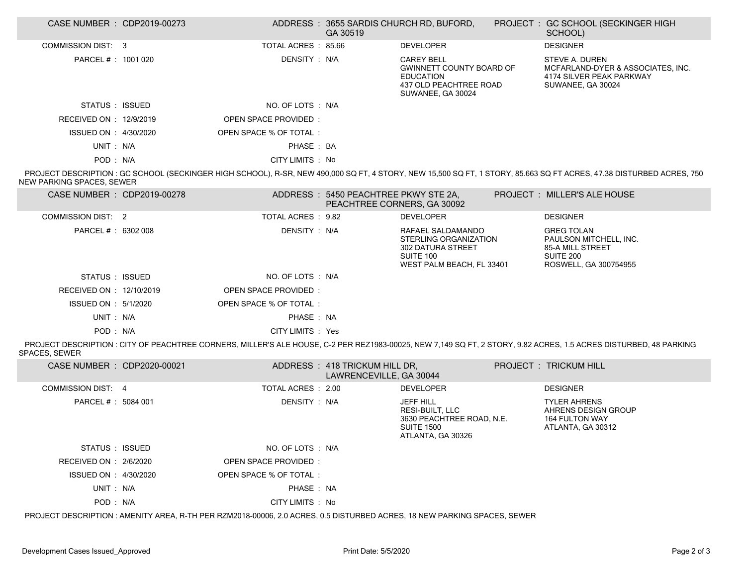| CASE NUMBER : CDP2019-00273 |                             | GA 30519                                                            | ADDRESS: 3655 SARDIS CHURCH RD, BUFORD,                                                                                 | PROJECT: GC SCHOOL (SECKINGER HIGH<br>SCHOOL)                                                                                                                        |
|-----------------------------|-----------------------------|---------------------------------------------------------------------|-------------------------------------------------------------------------------------------------------------------------|----------------------------------------------------------------------------------------------------------------------------------------------------------------------|
| <b>COMMISSION DIST: 3</b>   | TOTAL ACRES : 85.66         |                                                                     | <b>DEVELOPER</b>                                                                                                        | <b>DESIGNER</b>                                                                                                                                                      |
| PARCEL #: 1001 020          | DENSITY: N/A                |                                                                     | <b>CAREY BELL</b><br><b>GWINNETT COUNTY BOARD OF</b><br><b>EDUCATION</b><br>437 OLD PEACHTREE ROAD<br>SUWANEE, GA 30024 | STEVE A. DUREN<br>MCFARLAND-DYER & ASSOCIATES, INC.<br>4174 SILVER PEAK PARKWAY<br>SUWANEE, GA 30024                                                                 |
| STATUS : ISSUED             | NO. OF LOTS : N/A           |                                                                     |                                                                                                                         |                                                                                                                                                                      |
| RECEIVED ON : 12/9/2019     | <b>OPEN SPACE PROVIDED:</b> |                                                                     |                                                                                                                         |                                                                                                                                                                      |
| ISSUED ON : 4/30/2020       | OPEN SPACE % OF TOTAL:      |                                                                     |                                                                                                                         |                                                                                                                                                                      |
| UNIT: N/A                   | PHASE: BA                   |                                                                     |                                                                                                                         |                                                                                                                                                                      |
| POD: N/A                    | CITY LIMITS : No            |                                                                     |                                                                                                                         |                                                                                                                                                                      |
| NEW PARKING SPACES, SEWER   |                             |                                                                     |                                                                                                                         | PROJECT DESCRIPTION : GC SCHOOL (SECKINGER HIGH SCHOOL), R-SR, NEW 490,000 SQ FT, 4 STORY, NEW 15,500 SQ FT, 1 STORY, 85.663 SQ FT ACRES, 47.38 DISTURBED ACRES, 750 |
| CASE NUMBER : CDP2019-00278 |                             | ADDRESS: 5450 PEACHTREE PKWY STE 2A,<br>PEACHTREE CORNERS, GA 30092 |                                                                                                                         | <b>PROJECT : MILLER'S ALE HOUSE</b>                                                                                                                                  |
| COMMISSION DIST: 2          | TOTAL ACRES : 9.82          |                                                                     | <b>DEVELOPER</b>                                                                                                        | <b>DESIGNER</b>                                                                                                                                                      |
| PARCEL # : 6302 008         | DENSITY : N/A               |                                                                     | RAFAEL SALDAMANDO<br>STERLING ORGANIZATION<br><b>302 DATURA STREET</b><br>SUITE 100<br>WEST PALM BEACH, FL 33401        | <b>GREG TOLAN</b><br>PAULSON MITCHELL, INC.<br>85-A MILL STREET<br>SUITE 200<br>ROSWELL, GA 300754955                                                                |
| STATUS : ISSUED             | NO. OF LOTS : N/A           |                                                                     |                                                                                                                         |                                                                                                                                                                      |
| RECEIVED ON : 12/10/2019    | OPEN SPACE PROVIDED:        |                                                                     |                                                                                                                         |                                                                                                                                                                      |
| ISSUED ON : 5/1/2020        | OPEN SPACE % OF TOTAL :     |                                                                     |                                                                                                                         |                                                                                                                                                                      |
| UNIT: N/A                   | PHASE: NA                   |                                                                     |                                                                                                                         |                                                                                                                                                                      |
| POD: N/A                    | CITY LIMITS : Yes           |                                                                     |                                                                                                                         |                                                                                                                                                                      |
| <b>SPACES, SEWER</b>        |                             |                                                                     |                                                                                                                         | PROJECT DESCRIPTION : CITY OF PEACHTREE CORNERS, MILLER'S ALE HOUSE, C-2 PER REZ1983-00025, NEW 7,149 SQ FT, 2 STORY, 9.82 ACRES, 1.5 ACRES DISTURBED, 48 PARKING    |
| CASE NUMBER : CDP2020-00021 |                             | ADDRESS: 418 TRICKUM HILL DR,<br>LAWRENCEVILLE, GA 30044            |                                                                                                                         | PROJECT : TRICKUM HILL                                                                                                                                               |
| COMMISSION DIST: 4          | TOTAL ACRES: 2.00           |                                                                     | <b>DEVELOPER</b>                                                                                                        | <b>DESIGNER</b>                                                                                                                                                      |
| PARCEL # : 5084 001         | DENSITY : N/A               |                                                                     | <b>JEFF HILL</b><br>RESI-BUILT, LLC<br>3630 PEACHTREE ROAD, N.E.<br><b>SUITE 1500</b><br>ATLANTA, GA 30326              | <b>TYLER AHRENS</b><br>AHRENS DESIGN GROUP<br><b>164 FULTON WAY</b><br>ATLANTA, GA 30312                                                                             |
| STATUS : ISSUED             | NO. OF LOTS: N/A            |                                                                     |                                                                                                                         |                                                                                                                                                                      |
| RECEIVED ON : 2/6/2020      | <b>OPEN SPACE PROVIDED:</b> |                                                                     |                                                                                                                         |                                                                                                                                                                      |

ISSUED ON : 4/30/2020 OPEN SPACE % OF TOTAL :

UNIT : N/A PHASE : NA

POD : N/A CITY LIMITS : No

PROJECT DESCRIPTION : AMENITY AREA, R-TH PER RZM2018-00006, 2.0 ACRES, 0.5 DISTURBED ACRES, 18 NEW PARKING SPACES, SEWER